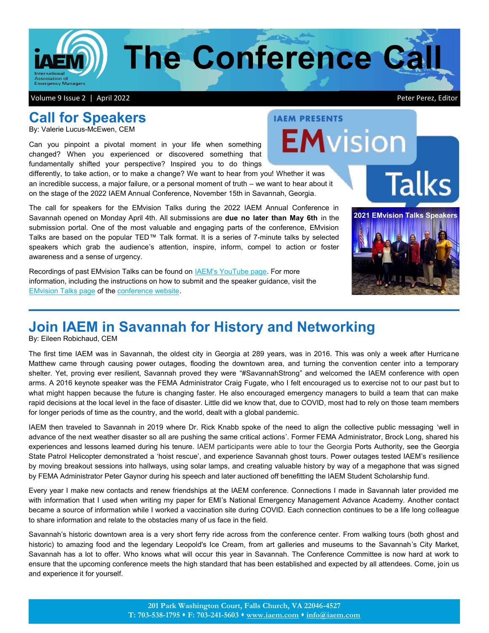

**IAEM PRESENTS** 

**EMvision** 

# **Call for Speakers**

By: Valerie Lucus-McEwen, CEM

Can you pinpoint a pivotal moment in your life when something changed? When you experienced or discovered something that fundamentally shifted your perspective? Inspired you to do things

differently, to take action, or to make a change? We want to hear from you! Whether it was an incredible success, a major failure, or a personal moment of truth – we want to hear about it on the stage of the 2022 IAEM Annual Conference, November 15th in Savannah, Georgia.

The call for speakers for the EMvision Talks during the 2022 IAEM Annual Conference in Savannah opened on Monday April 4th. All submissions are **due no later than May 6th** in the submission portal. One of the most valuable and engaging parts of the conference, EMvision Talks are based on the popular TED™ Talk format. It is a series of 7-minute talks by selected speakers which grab the audience's attention, inspire, inform, compel to action or foster awareness and a sense of urgency.

Recordings of past EMvision Talks can be found on **IAEM's YouTube page**. For more information, including the instructions on how to submit and the speaker guidance, visit the [EMvision Talks page](https://www.iaem.org/usconf/speakers/EMvision-Talks2) of the [conference website.](https://www.iaem.org/usconf)

## **Join IAEM in Savannah for History and Networking**

By: Eileen Robichaud, CEM

The first time IAEM was in Savannah, the oldest city in Georgia at 289 years, was in 2016. This was only a week after Hurricane Matthew came through causing power outages, flooding the downtown area, and turning the convention center into a temporary shelter. Yet, proving ever resilient, Savannah proved they were "#SavannahStrong" and welcomed the IAEM conference with open arms. A 2016 keynote speaker was the FEMA Administrator Craig Fugate, who I felt encouraged us to exercise not to our past but to what might happen because the future is changing faster. He also encouraged emergency managers to build a team that can make rapid decisions at the local level in the face of disaster. Little did we know that, due to COVID, most had to rely on those team members for longer periods of time as the country, and the world, dealt with a global pandemic.

IAEM then traveled to Savannah in 2019 where Dr. Rick Knabb spoke of the need to align the collective public messaging 'well in advance of the next weather disaster so all are pushing the same critical actions'. Former FEMA Administrator, Brock Long, shared his experiences and lessons learned during his tenure. IAEM participants were able to tour the Georgia Ports Authority, see the Georgia State Patrol Helicopter demonstrated a 'hoist rescue', and experience Savannah ghost tours. Power outages tested IAEM's resilience by moving breakout sessions into hallways, using solar lamps, and creating valuable history by way of a megaphone that was signed by FEMA Administrator Peter Gaynor during his speech and later auctioned off benefitting the IAEM Student Scholarship fund.

Every year I make new contacts and renew friendships at the IAEM conference. Connections I made in Savannah later provided me with information that I used when writing my paper for EMI's National Emergency Management Advance Academy. Another contact became a source of information while I worked a vaccination site during COVID. Each connection continues to be a life long colleague to share information and relate to the obstacles many of us face in the field.

Savannah's historic downtown area is a very short ferry ride across from the conference center. From walking tours (both ghost and historic) to amazing food and the legendary Leopold's Ice Cream, from art galleries and museums to the Savannah's City Market, Savannah has a lot to offer. Who knows what will occur this year in Savannah. The Conference Committee is now hard at work to ensure that the upcoming conference meets the high standard that has been established and expected by all attendees. Come, join us and experience it for yourself.



**Talks**